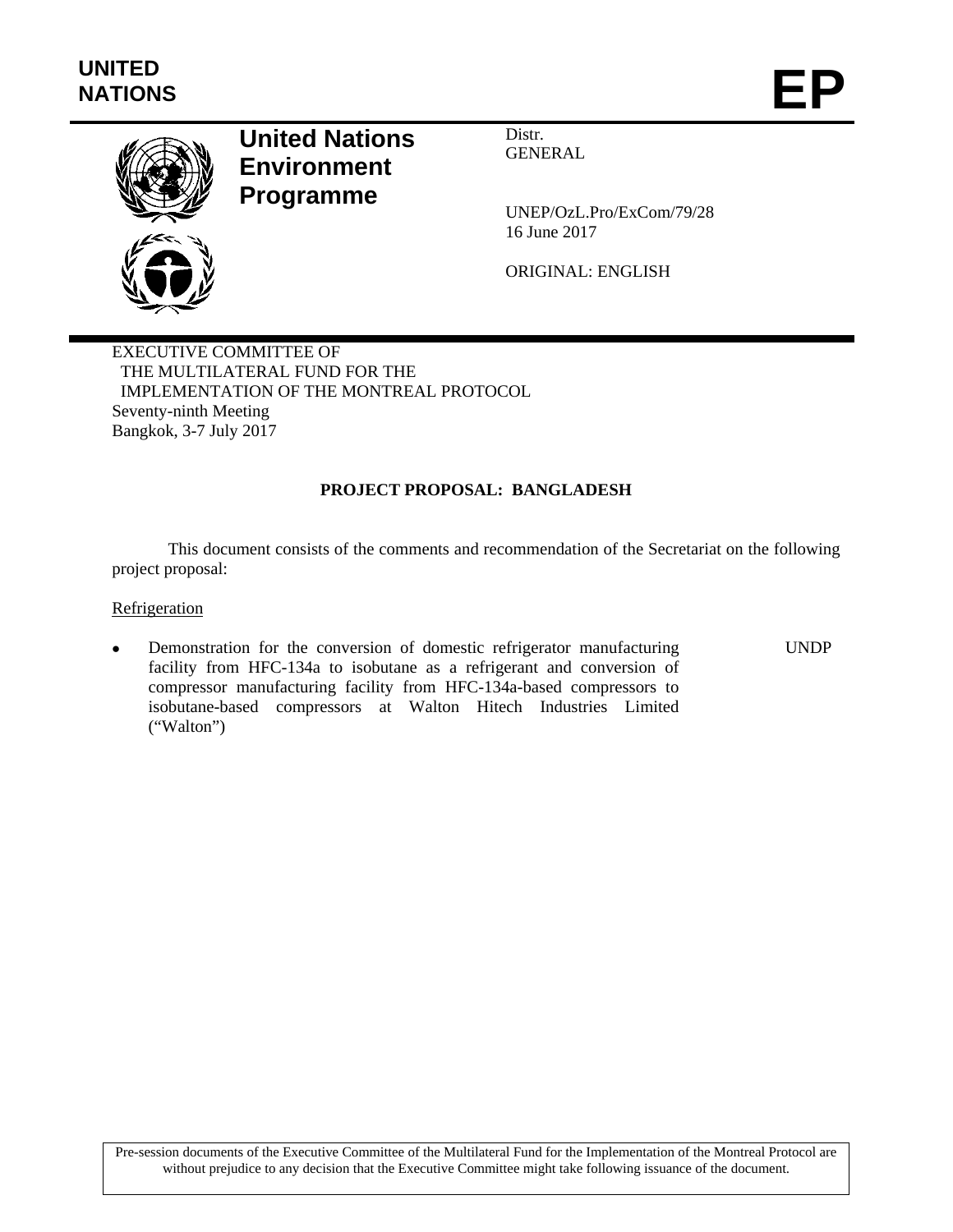

# **United Nations Environment Programme**

Distr. GENERAL

UNEP/OzL.Pro/ExCom/79/28 16 June 2017

ORIGINAL: ENGLISH

EXECUTIVE COMMITTEE OF THE MULTILATERAL FUND FOR THE IMPLEMENTATION OF THE MONTREAL PROTOCOL Seventy-ninth Meeting Bangkok, 3-7 July 2017

## **PROJECT PROPOSAL: BANGLADESH**

This document consists of the comments and recommendation of the Secretariat on the following project proposal:

#### **Refrigeration**

 Demonstration for the conversion of domestic refrigerator manufacturing facility from HFC-134a to isobutane as a refrigerant and conversion of compressor manufacturing facility from HFC-134a-based compressors to isobutane-based compressors at Walton Hitech Industries Limited ("Walton") UNDP

Pre-session documents of the Executive Committee of the Multilateral Fund for the Implementation of the Montreal Protocol are without prejudice to any decision that the Executive Committee might take following issuance of the document.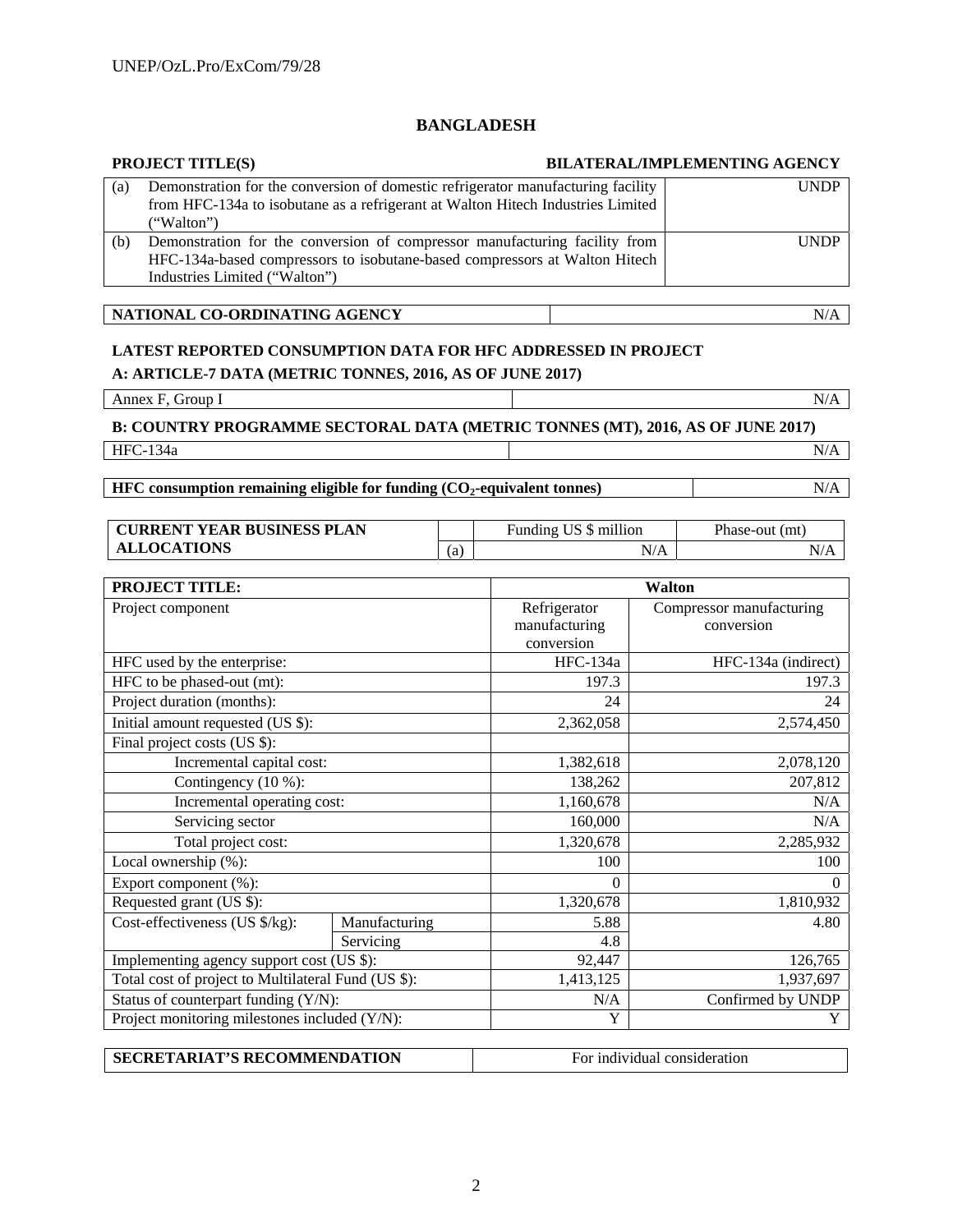## **BANGLADESH**

# **PROJECT TITLE(S) BILATERAL/IMPLEMENTING AGENCY**

| (a) | Demonstration for the conversion of domestic refrigerator manufacturing facility | <b>UNDP</b> |
|-----|----------------------------------------------------------------------------------|-------------|
|     | from HFC-134a to isobutane as a refrigerant at Walton Hitech Industries Limited  |             |
|     | ("Walton")                                                                       |             |
| (b) | Demonstration for the conversion of compressor manufacturing facility from       | <b>UNDP</b> |
|     | HFC-134a-based compressors to isobutane-based compressors at Walton Hitech       |             |
|     | Industries Limited ("Walton")                                                    |             |

**NATIONAL CO-ORDINATING AGENCY** N/A

## **LATEST REPORTED CONSUMPTION DATA FOR HFC ADDRESSED IN PROJECT**

**A: ARTICLE-7 DATA (METRIC TONNES, 2016, AS OF JUNE 2017)** 

Annex F, Group I N/A

**B: COUNTRY PROGRAMME SECTORAL DATA (METRIC TONNES (MT), 2016, AS OF JUNE 2017)** 

HFC-134a N/A

**HFC consumption remaining eligible for funding (CO<sub>2</sub>-equivalent tonnes) N/A** N/A

| 'YEAR BUSINESS PLAN<br><b>CURRENT</b> |    | Funding US \$ million | Phase-out<br>(mt) |
|---------------------------------------|----|-----------------------|-------------------|
| <b>ALLOCATIONS</b>                    | a. | Δ<br>N/A              | N/A               |

| <b>PROJECT TITLE:</b>                               |               |               | <b>Walton</b>            |  |  |
|-----------------------------------------------------|---------------|---------------|--------------------------|--|--|
| Project component                                   |               | Refrigerator  | Compressor manufacturing |  |  |
|                                                     |               | manufacturing | conversion               |  |  |
|                                                     |               | conversion    |                          |  |  |
| HFC used by the enterprise:                         |               | HFC-134a      | HFC-134a (indirect)      |  |  |
| HFC to be phased-out (mt):                          |               | 197.3         | 197.3                    |  |  |
| Project duration (months):                          |               | 24            | 24                       |  |  |
| Initial amount requested (US \$):                   |               | 2,362,058     | 2,574,450                |  |  |
| Final project costs (US \$):                        |               |               |                          |  |  |
| Incremental capital cost:                           |               | 1,382,618     | 2,078,120                |  |  |
| Contingency (10 %):                                 |               | 138,262       | 207,812                  |  |  |
| Incremental operating cost:                         |               | 1,160,678     | N/A                      |  |  |
| Servicing sector                                    |               | 160,000       | N/A                      |  |  |
| Total project cost:                                 |               | 1,320,678     | 2,285,932                |  |  |
| Local ownership (%):                                |               | 100           | 100                      |  |  |
| Export component (%):                               |               | $\Omega$      | $\Omega$                 |  |  |
| Requested grant (US \$):                            |               | 1,320,678     | 1,810,932                |  |  |
| Cost-effectiveness (US \$/kg):                      | Manufacturing | 5.88          | 4.80                     |  |  |
|                                                     | Servicing     | 4.8           |                          |  |  |
| Implementing agency support cost (US \$):           |               | 92,447        | 126,765                  |  |  |
| Total cost of project to Multilateral Fund (US \$): |               | 1,413,125     | 1,937,697                |  |  |
| Status of counterpart funding (Y/N):                |               | N/A           | Confirmed by UNDP        |  |  |
| Project monitoring milestones included (Y/N):       |               | Y             | Y                        |  |  |
|                                                     |               |               |                          |  |  |

| <b>SECRETARIAT'S RECOMMENDATION</b> | For individual consideration |
|-------------------------------------|------------------------------|
|                                     |                              |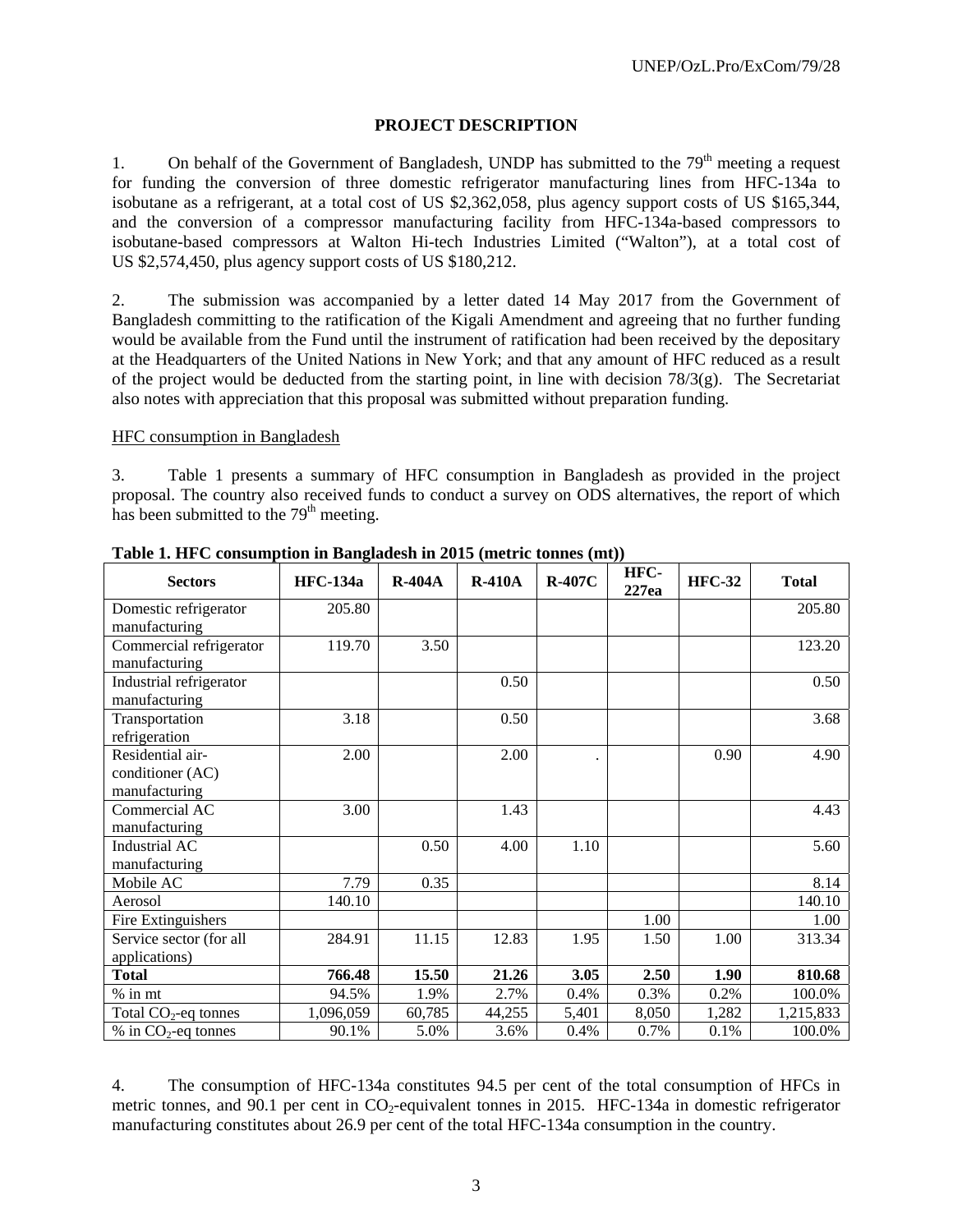#### **PROJECT DESCRIPTION**

1. On behalf of the Government of Bangladesh, UNDP has submitted to the  $79<sup>th</sup>$  meeting a request for funding the conversion of three domestic refrigerator manufacturing lines from HFC-134a to isobutane as a refrigerant, at a total cost of US \$2,362,058, plus agency support costs of US \$165,344, and the conversion of a compressor manufacturing facility from HFC-134a-based compressors to isobutane-based compressors at Walton Hi-tech Industries Limited ("Walton"), at a total cost of US \$2,574,450, plus agency support costs of US \$180,212.

2. The submission was accompanied by a letter dated 14 May 2017 from the Government of Bangladesh committing to the ratification of the Kigali Amendment and agreeing that no further funding would be available from the Fund until the instrument of ratification had been received by the depositary at the Headquarters of the United Nations in New York; and that any amount of HFC reduced as a result of the project would be deducted from the starting point, in line with decision 78/3(g). The Secretariat also notes with appreciation that this proposal was submitted without preparation funding.

#### HFC consumption in Bangladesh

3. Table 1 presents a summary of HFC consumption in Bangladesh as provided in the project proposal. The country also received funds to conduct a survey on ODS alternatives, the report of which has been submitted to the  $79<sup>th</sup>$  meeting.

| <b>Sectors</b>                    | <b>HFC-134a</b> | $R-404A$ | <b>R-410A</b> | <b>R-407C</b> | HFC-<br>227ea | <b>HFC-32</b> | <b>Total</b> |
|-----------------------------------|-----------------|----------|---------------|---------------|---------------|---------------|--------------|
| Domestic refrigerator             | 205.80          |          |               |               |               |               | 205.80       |
| manufacturing                     |                 |          |               |               |               |               |              |
| Commercial refrigerator           | 119.70          | 3.50     |               |               |               |               | 123.20       |
| manufacturing                     |                 |          |               |               |               |               |              |
| Industrial refrigerator           |                 |          | 0.50          |               |               |               | 0.50         |
| manufacturing                     |                 |          |               |               |               |               |              |
| Transportation                    | 3.18            |          | 0.50          |               |               |               | 3.68         |
| refrigeration                     |                 |          |               |               |               |               |              |
| Residential air-                  | 2.00            |          | 2.00          |               |               | 0.90          | 4.90         |
| conditioner (AC)                  |                 |          |               |               |               |               |              |
| manufacturing                     |                 |          |               |               |               |               |              |
| Commercial AC                     | 3.00            |          | 1.43          |               |               |               | 4.43         |
| manufacturing                     |                 |          |               |               |               |               |              |
| Industrial AC                     |                 | 0.50     | 4.00          | 1.10          |               |               | 5.60         |
| manufacturing                     |                 |          |               |               |               |               |              |
| Mobile AC                         | 7.79            | 0.35     |               |               |               |               | 8.14         |
| Aerosol                           | 140.10          |          |               |               |               |               | 140.10       |
| Fire Extinguishers                |                 |          |               |               | 1.00          |               | 1.00         |
| Service sector (for all           | 284.91          | 11.15    | 12.83         | 1.95          | 1.50          | 1.00          | 313.34       |
| applications)                     |                 |          |               |               |               |               |              |
| <b>Total</b>                      | 766.48          | 15.50    | 21.26         | 3.05          | 2.50          | 1.90          | 810.68       |
| $%$ in mt                         | 94.5%           | 1.9%     | 2.7%          | 0.4%          | 0.3%          | 0.2%          | 100.0%       |
| Total $CO2$ -eq tonnes            | 1,096,059       | 60,785   | 44,255        | 5,401         | 8,050         | 1,282         | 1,215,833    |
| $%$ in CO <sub>2</sub> -eq tonnes | 90.1%           | 5.0%     | 3.6%          | 0.4%          | 0.7%          | 0.1%          | 100.0%       |

**Table 1. HFC consumption in Bangladesh in 2015 (metric tonnes (mt))** 

4. The consumption of HFC-134a constitutes 94.5 per cent of the total consumption of HFCs in metric tonnes, and 90.1 per cent in CO<sub>2</sub>-equivalent tonnes in 2015. HFC-134a in domestic refrigerator manufacturing constitutes about 26.9 per cent of the total HFC-134a consumption in the country.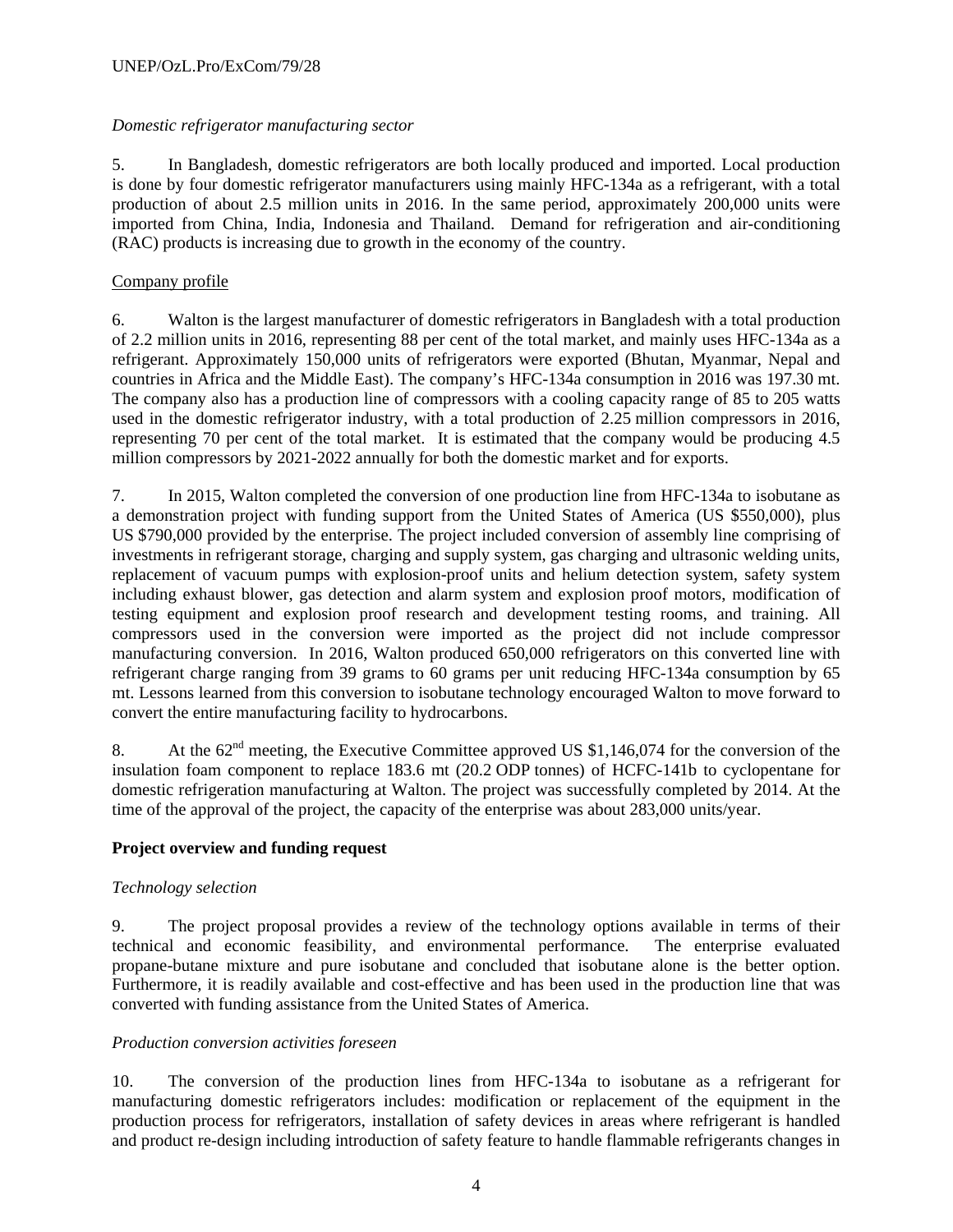#### *Domestic refrigerator manufacturing sector*

5. In Bangladesh, domestic refrigerators are both locally produced and imported. Local production is done by four domestic refrigerator manufacturers using mainly HFC-134a as a refrigerant, with a total production of about 2.5 million units in 2016. In the same period, approximately 200,000 units were imported from China, India, Indonesia and Thailand. Demand for refrigeration and air-conditioning (RAC) products is increasing due to growth in the economy of the country.

# Company profile

6. Walton is the largest manufacturer of domestic refrigerators in Bangladesh with a total production of 2.2 million units in 2016, representing 88 per cent of the total market, and mainly uses HFC-134a as a refrigerant. Approximately 150,000 units of refrigerators were exported (Bhutan, Myanmar, Nepal and countries in Africa and the Middle East). The company's HFC-134a consumption in 2016 was 197.30 mt. The company also has a production line of compressors with a cooling capacity range of 85 to 205 watts used in the domestic refrigerator industry, with a total production of 2.25 million compressors in 2016, representing 70 per cent of the total market. It is estimated that the company would be producing 4.5 million compressors by 2021-2022 annually for both the domestic market and for exports.

7. In 2015, Walton completed the conversion of one production line from HFC-134a to isobutane as a demonstration project with funding support from the United States of America (US \$550,000), plus US \$790,000 provided by the enterprise. The project included conversion of assembly line comprising of investments in refrigerant storage, charging and supply system, gas charging and ultrasonic welding units, replacement of vacuum pumps with explosion-proof units and helium detection system, safety system including exhaust blower, gas detection and alarm system and explosion proof motors, modification of testing equipment and explosion proof research and development testing rooms, and training. All compressors used in the conversion were imported as the project did not include compressor manufacturing conversion. In 2016, Walton produced 650,000 refrigerators on this converted line with refrigerant charge ranging from 39 grams to 60 grams per unit reducing HFC-134a consumption by 65 mt. Lessons learned from this conversion to isobutane technology encouraged Walton to move forward to convert the entire manufacturing facility to hydrocarbons.

8. At the  $62<sup>nd</sup>$  meeting, the Executive Committee approved US \$1,146,074 for the conversion of the insulation foam component to replace 183.6 mt (20.2 ODP tonnes) of HCFC-141b to cyclopentane for domestic refrigeration manufacturing at Walton. The project was successfully completed by 2014. At the time of the approval of the project, the capacity of the enterprise was about 283,000 units/year.

#### **Project overview and funding request**

#### *Technology selection*

9. The project proposal provides a review of the technology options available in terms of their technical and economic feasibility, and environmental performance. The enterprise evaluated propane-butane mixture and pure isobutane and concluded that isobutane alone is the better option. Furthermore, it is readily available and cost-effective and has been used in the production line that was converted with funding assistance from the United States of America.

#### *Production conversion activities foreseen*

10. The conversion of the production lines from HFC-134a to isobutane as a refrigerant for manufacturing domestic refrigerators includes: modification or replacement of the equipment in the production process for refrigerators, installation of safety devices in areas where refrigerant is handled and product re-design including introduction of safety feature to handle flammable refrigerants changes in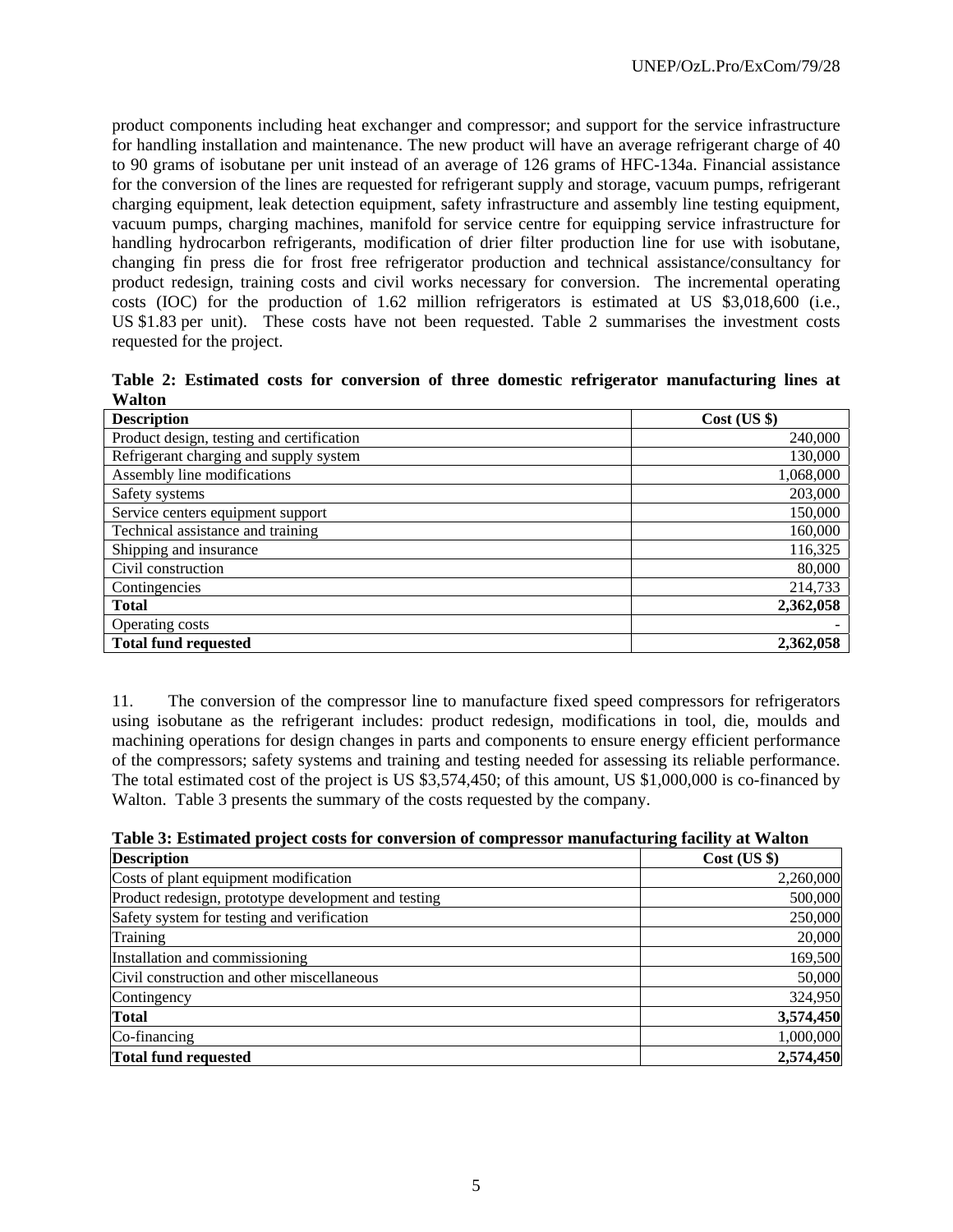product components including heat exchanger and compressor; and support for the service infrastructure for handling installation and maintenance. The new product will have an average refrigerant charge of 40 to 90 grams of isobutane per unit instead of an average of 126 grams of HFC-134a. Financial assistance for the conversion of the lines are requested for refrigerant supply and storage, vacuum pumps, refrigerant charging equipment, leak detection equipment, safety infrastructure and assembly line testing equipment, vacuum pumps, charging machines, manifold for service centre for equipping service infrastructure for handling hydrocarbon refrigerants, modification of drier filter production line for use with isobutane, changing fin press die for frost free refrigerator production and technical assistance/consultancy for product redesign, training costs and civil works necessary for conversion. The incremental operating costs (IOC) for the production of 1.62 million refrigerators is estimated at US \$3,018,600 (i.e., US \$1.83 per unit). These costs have not been requested. Table 2 summarises the investment costs requested for the project.

**Table 2: Estimated costs for conversion of three domestic refrigerator manufacturing lines at Walton** 

| <b>Description</b>                        | $Cost$ (US $\})$ |
|-------------------------------------------|------------------|
| Product design, testing and certification | 240,000          |
| Refrigerant charging and supply system    | 130,000          |
| Assembly line modifications               | 1,068,000        |
| Safety systems                            | 203,000          |
| Service centers equipment support         | 150,000          |
| Technical assistance and training         | 160,000          |
| Shipping and insurance                    | 116,325          |
| Civil construction                        | 80,000           |
| Contingencies                             | 214,733          |
| <b>Total</b>                              | 2,362,058        |
| Operating costs                           |                  |
| <b>Total fund requested</b>               | 2,362,058        |

11. The conversion of the compressor line to manufacture fixed speed compressors for refrigerators using isobutane as the refrigerant includes: product redesign, modifications in tool, die, moulds and machining operations for design changes in parts and components to ensure energy efficient performance of the compressors; safety systems and training and testing needed for assessing its reliable performance. The total estimated cost of the project is US \$3,574,450; of this amount, US \$1,000,000 is co-financed by Walton. Table 3 presents the summary of the costs requested by the company.

| Table 3: Estimated project costs for conversion of compressor manufacturing facility at Walton |  |  |  |
|------------------------------------------------------------------------------------------------|--|--|--|
|                                                                                                |  |  |  |

| <b>Description</b>                                  | $Cost$ (US $\})$ |
|-----------------------------------------------------|------------------|
| Costs of plant equipment modification               | 2,260,000        |
| Product redesign, prototype development and testing | 500,000          |
| Safety system for testing and verification          | 250,000          |
| Training                                            | 20,000           |
| Installation and commissioning                      | 169,500          |
| Civil construction and other miscellaneous          | 50,000           |
| Contingency                                         | 324,950          |
| <b>Total</b>                                        | 3,574,450        |
| Co-financing                                        | 1,000,000        |
| <b>Total fund requested</b>                         | 2,574,450        |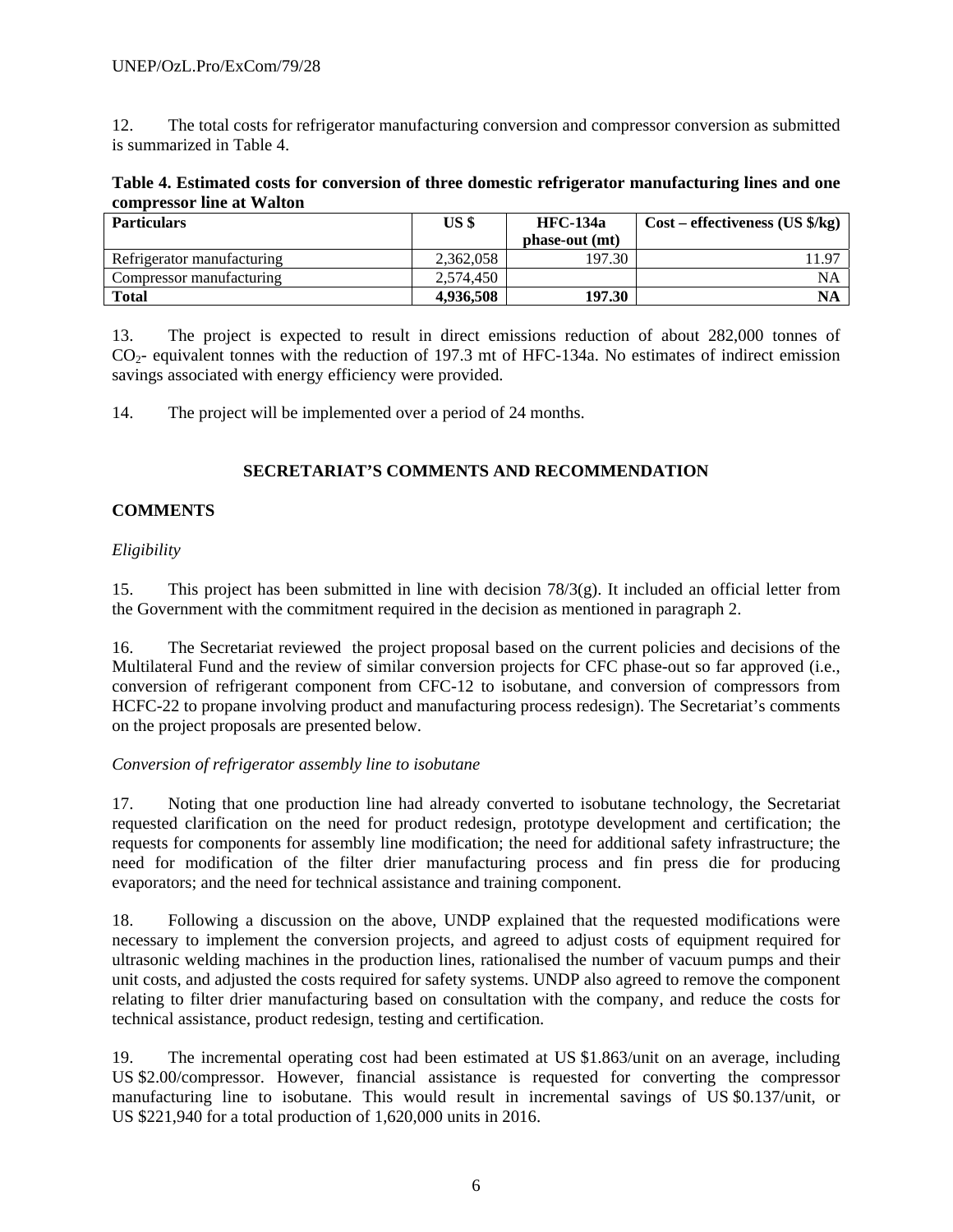12. The total costs for refrigerator manufacturing conversion and compressor conversion as submitted is summarized in Table 4.

|                           | Table 4. Estimated costs for conversion of three domestic refrigerator manufacturing lines and one |  |
|---------------------------|----------------------------------------------------------------------------------------------------|--|
| compressor line at Walton |                                                                                                    |  |

| <b>Particulars</b>         | US <sup>s</sup> | <b>HFC-134a</b> | $Cost - effectiveness (US \frac{6}{5})$ |
|----------------------------|-----------------|-----------------|-----------------------------------------|
|                            |                 | phase-out (mt)  |                                         |
| Refrigerator manufacturing | 2.362.058       | 197.30          | .1.97                                   |
| Compressor manufacturing   | 2.574.450       |                 | NA                                      |
| <b>Total</b>               | 4,936,508       | 197.30          | NA                                      |

13. The project is expected to result in direct emissions reduction of about 282,000 tonnes of  $CO<sub>2</sub>$ - equivalent tonnes with the reduction of 197.3 mt of HFC-134a. No estimates of indirect emission savings associated with energy efficiency were provided.

14. The project will be implemented over a period of 24 months.

## **SECRETARIAT'S COMMENTS AND RECOMMENDATION**

#### **COMMENTS**

#### *Eligibility*

15. This project has been submitted in line with decision 78/3(g). It included an official letter from the Government with the commitment required in the decision as mentioned in paragraph 2.

16. The Secretariat reviewed the project proposal based on the current policies and decisions of the Multilateral Fund and the review of similar conversion projects for CFC phase-out so far approved (i.e., conversion of refrigerant component from CFC-12 to isobutane, and conversion of compressors from HCFC-22 to propane involving product and manufacturing process redesign). The Secretariat's comments on the project proposals are presented below.

#### *Conversion of refrigerator assembly line to isobutane*

17. Noting that one production line had already converted to isobutane technology, the Secretariat requested clarification on the need for product redesign, prototype development and certification; the requests for components for assembly line modification; the need for additional safety infrastructure; the need for modification of the filter drier manufacturing process and fin press die for producing evaporators; and the need for technical assistance and training component.

18. Following a discussion on the above, UNDP explained that the requested modifications were necessary to implement the conversion projects, and agreed to adjust costs of equipment required for ultrasonic welding machines in the production lines, rationalised the number of vacuum pumps and their unit costs, and adjusted the costs required for safety systems. UNDP also agreed to remove the component relating to filter drier manufacturing based on consultation with the company, and reduce the costs for technical assistance, product redesign, testing and certification.

19. The incremental operating cost had been estimated at US \$1.863/unit on an average, including US \$2.00/compressor. However, financial assistance is requested for converting the compressor manufacturing line to isobutane. This would result in incremental savings of US \$0.137/unit, or US \$221,940 for a total production of 1,620,000 units in 2016.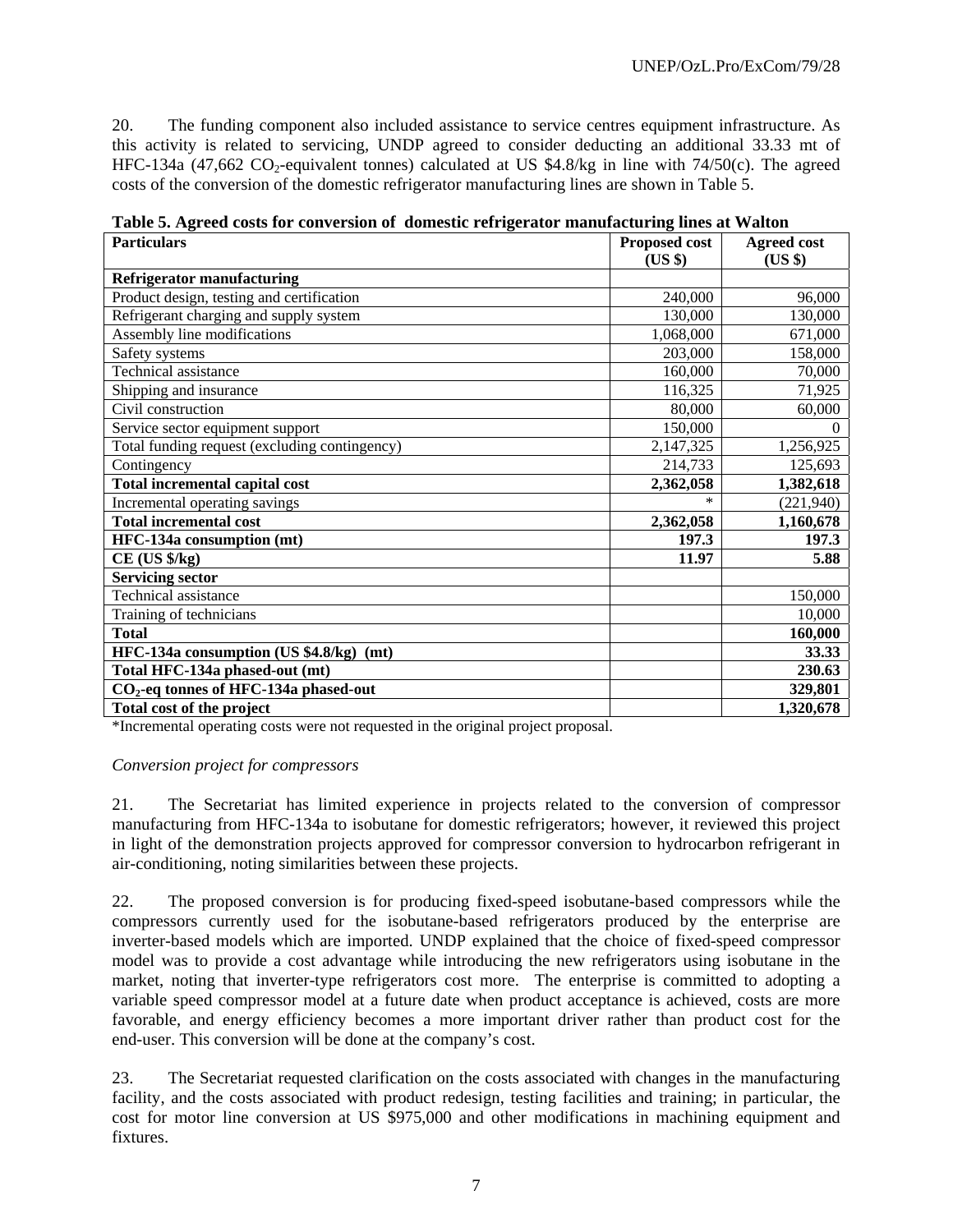20. The funding component also included assistance to service centres equipment infrastructure. As this activity is related to servicing, UNDP agreed to consider deducting an additional 33.33 mt of HFC-134a (47,662 CO<sub>2</sub>-equivalent tonnes) calculated at US \$4.8/kg in line with 74/50(c). The agreed costs of the conversion of the domestic refrigerator manufacturing lines are shown in Table 5.

| <b>Particulars</b>                            | <b>Proposed cost</b> | <b>Agreed cost</b> |
|-----------------------------------------------|----------------------|--------------------|
|                                               | (US \$)              | (US \$)            |
| <b>Refrigerator manufacturing</b>             |                      |                    |
| Product design, testing and certification     | 240,000              | 96,000             |
| Refrigerant charging and supply system        | 130,000              | 130,000            |
| Assembly line modifications                   | 1,068,000            | 671,000            |
| Safety systems                                | 203,000              | 158,000            |
| <b>Technical assistance</b>                   | 160,000              | 70,000             |
| Shipping and insurance                        | 116,325              | 71,925             |
| Civil construction                            | 80,000               | 60,000             |
| Service sector equipment support              | 150,000              | $\Omega$           |
| Total funding request (excluding contingency) | 2,147,325            | 1,256,925          |
| Contingency                                   | 214,733              | 125,693            |
| Total incremental capital cost                | 2,362,058            | 1,382,618          |
| Incremental operating savings                 |                      | (221,940)          |
| <b>Total incremental cost</b>                 | 2,362,058            | 1,160,678          |
| HFC-134a consumption (mt)                     | 197.3                | 197.3              |
| $CE$ (US $\frac{1}{2}$ /kg)                   | 11.97                | 5.88               |
| <b>Servicing sector</b>                       |                      |                    |
| <b>Technical assistance</b>                   |                      | 150,000            |
| Training of technicians                       |                      | 10,000             |
| <b>Total</b>                                  |                      | 160,000            |
| HFC-134a consumption (US \$4.8/kg) (mt)       |                      | 33.33              |
| Total HFC-134a phased-out (mt)                |                      | 230.63             |
| $CO2$ -eq tonnes of HFC-134a phased-out       |                      | 329,801            |
| Total cost of the project                     |                      | 1,320,678          |

**Table 5. Agreed costs for conversion of domestic refrigerator manufacturing lines at Walton** 

\*Incremental operating costs were not requested in the original project proposal.

#### *Conversion project for compressors*

21. The Secretariat has limited experience in projects related to the conversion of compressor manufacturing from HFC-134a to isobutane for domestic refrigerators; however, it reviewed this project in light of the demonstration projects approved for compressor conversion to hydrocarbon refrigerant in air-conditioning, noting similarities between these projects.

22. The proposed conversion is for producing fixed-speed isobutane-based compressors while the compressors currently used for the isobutane-based refrigerators produced by the enterprise are inverter-based models which are imported. UNDP explained that the choice of fixed-speed compressor model was to provide a cost advantage while introducing the new refrigerators using isobutane in the market, noting that inverter-type refrigerators cost more. The enterprise is committed to adopting a variable speed compressor model at a future date when product acceptance is achieved, costs are more favorable, and energy efficiency becomes a more important driver rather than product cost for the end-user. This conversion will be done at the company's cost.

23. The Secretariat requested clarification on the costs associated with changes in the manufacturing facility, and the costs associated with product redesign, testing facilities and training; in particular, the cost for motor line conversion at US \$975,000 and other modifications in machining equipment and fixtures.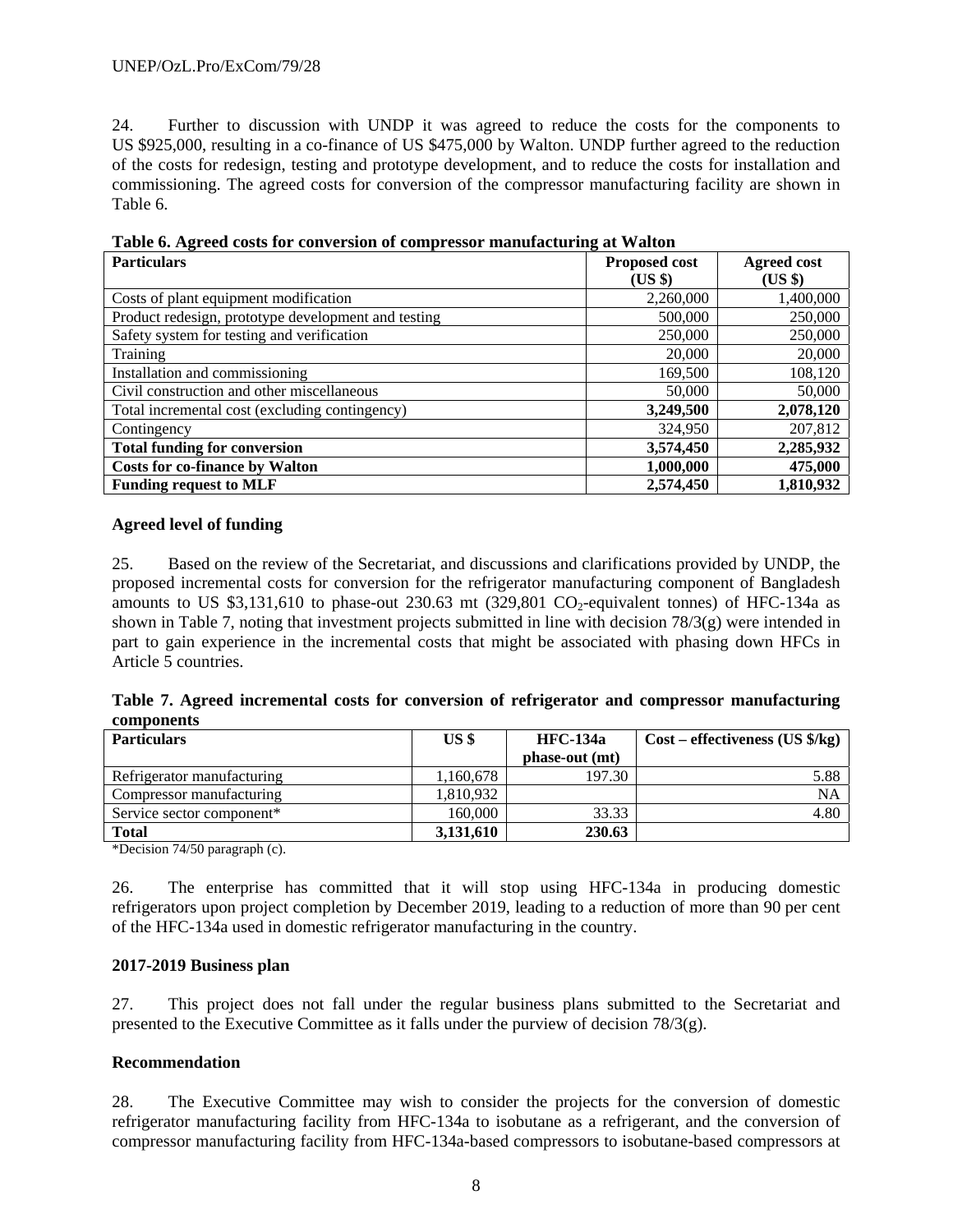24. Further to discussion with UNDP it was agreed to reduce the costs for the components to US \$925,000, resulting in a co-finance of US \$475,000 by Walton. UNDP further agreed to the reduction of the costs for redesign, testing and prototype development, and to reduce the costs for installation and commissioning. The agreed costs for conversion of the compressor manufacturing facility are shown in Table 6.

| <b>Particulars</b>                                  | <b>Proposed cost</b><br>(US \$) | <b>Agreed cost</b><br>(US \$) |
|-----------------------------------------------------|---------------------------------|-------------------------------|
| Costs of plant equipment modification               | 2,260,000                       | 1,400,000                     |
| Product redesign, prototype development and testing | 500,000                         | 250,000                       |
| Safety system for testing and verification          | 250,000                         | 250,000                       |
| Training                                            | 20,000                          | 20,000                        |
| Installation and commissioning                      | 169,500                         | 108,120                       |
| Civil construction and other miscellaneous          | 50,000                          | 50,000                        |
| Total incremental cost (excluding contingency)      | 3,249,500                       | 2,078,120                     |
| Contingency                                         | 324,950                         | 207,812                       |
| <b>Total funding for conversion</b>                 | 3,574,450                       | 2,285,932                     |
| <b>Costs for co-finance by Walton</b>               | 1,000,000                       | 475,000                       |
| <b>Funding request to MLF</b>                       | 2,574,450                       | 1,810,932                     |

**Table 6. Agreed costs for conversion of compressor manufacturing at Walton** 

#### **Agreed level of funding**

25. Based on the review of the Secretariat, and discussions and clarifications provided by UNDP, the proposed incremental costs for conversion for the refrigerator manufacturing component of Bangladesh amounts to US \$3,131,610 to phase-out 230.63 mt  $(329,801 \text{ CO}_2$ -equivalent tonnes) of HFC-134a as shown in Table 7, noting that investment projects submitted in line with decision 78/3(g) were intended in part to gain experience in the incremental costs that might be associated with phasing down HFCs in Article 5 countries.

| Table 7. Agreed incremental costs for conversion of refrigerator and compressor manufacturing |  |  |  |  |  |
|-----------------------------------------------------------------------------------------------|--|--|--|--|--|
| components                                                                                    |  |  |  |  |  |

| <b>Particulars</b>         | US <sup>§</sup> | <b>HFC-134a</b> | $Cost - effectiveness (US \frac{6}{kg})$ |  |
|----------------------------|-----------------|-----------------|------------------------------------------|--|
|                            |                 | phase-out (mt)  |                                          |  |
| Refrigerator manufacturing | 1,160,678       | 197.30          | 5.88                                     |  |
| Compressor manufacturing   | 1,810,932       |                 | NA                                       |  |
| Service sector component*  | 160,000         | 33.33           | 4.80                                     |  |
| <b>Total</b>               | 3,131,610       | 230.63          |                                          |  |

\*Decision 74/50 paragraph (c).

26. The enterprise has committed that it will stop using HFC-134a in producing domestic refrigerators upon project completion by December 2019, leading to a reduction of more than 90 per cent of the HFC-134a used in domestic refrigerator manufacturing in the country.

#### **2017-2019 Business plan**

27. This project does not fall under the regular business plans submitted to the Secretariat and presented to the Executive Committee as it falls under the purview of decision  $78/3(g)$ .

#### **Recommendation**

28. The Executive Committee may wish to consider the projects for the conversion of domestic refrigerator manufacturing facility from HFC-134a to isobutane as a refrigerant, and the conversion of compressor manufacturing facility from HFC-134a-based compressors to isobutane-based compressors at